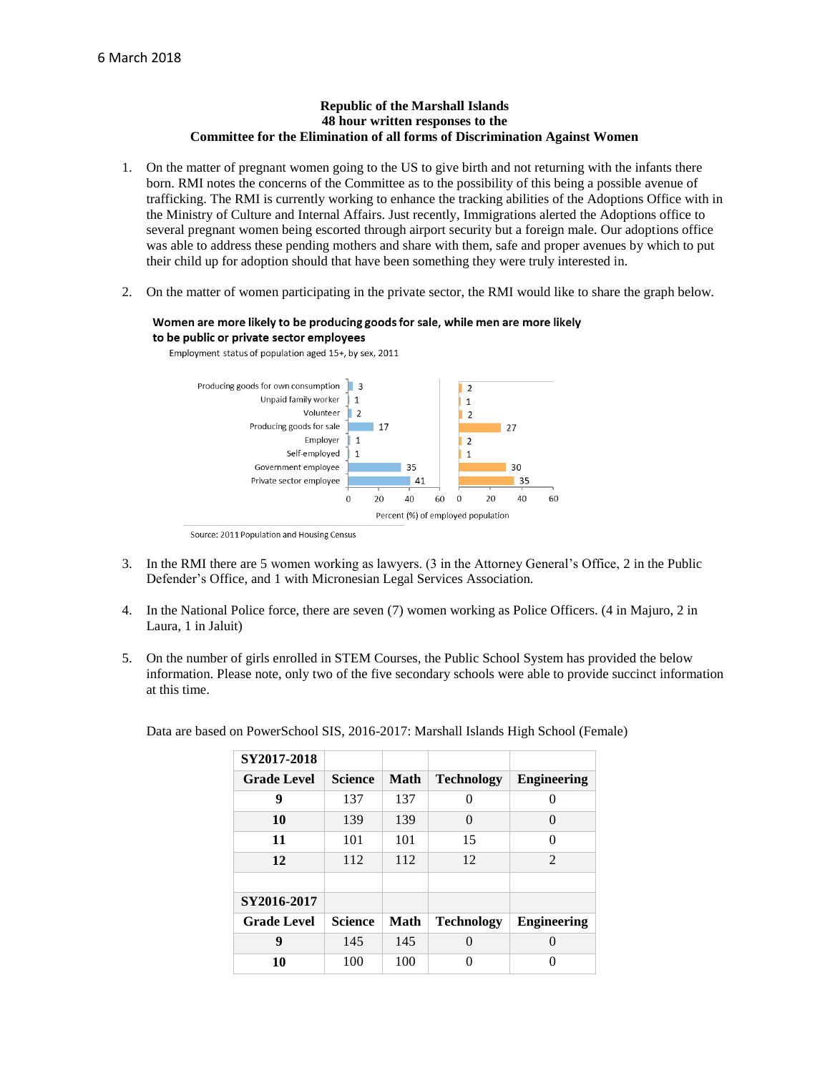## **Republic of the Marshall Islands 48 hour written responses to the Committee for the Elimination of all forms of Discrimination Against Women**

- 1. On the matter of pregnant women going to the US to give birth and not returning with the infants there born. RMI notes the concerns of the Committee as to the possibility of this being a possible avenue of trafficking. The RMI is currently working to enhance the tracking abilities of the Adoptions Office with in the Ministry of Culture and Internal Affairs. Just recently, Immigrations alerted the Adoptions office to several pregnant women being escorted through airport security but a foreign male. Our adoptions office was able to address these pending mothers and share with them, safe and proper avenues by which to put their child up for adoption should that have been something they were truly interested in.
- 2. On the matter of women participating in the private sector, the RMI would like to share the graph below.

## Women are more likely to be producing goods for sale, while men are more likely to be public or private sector employees



Employment status of population aged 15+, by sex, 2011

- 3. In the RMI there are 5 women working as lawyers. (3 in the Attorney General's Office, 2 in the Public Defender's Office, and 1 with Micronesian Legal Services Association.
- 4. In the National Police force, there are seven (7) women working as Police Officers. (4 in Majuro, 2 in Laura, 1 in Jaluit)
- 5. On the number of girls enrolled in STEM Courses, the Public School System has provided the below information. Please note, only two of the five secondary schools were able to provide succinct information at this time.

| SY2017-2018        |                |      |                   |                    |
|--------------------|----------------|------|-------------------|--------------------|
| <b>Grade Level</b> | <b>Science</b> | Math | <b>Technology</b> | <b>Engineering</b> |
| 9                  | 137            | 137  | 0                 | 0                  |
| 10                 | 139            | 139  | 0                 | $\Omega$           |
| 11                 | 101            | 101  | 15                | 0                  |
| 12                 | 112            | 112  | 12                | 2                  |
|                    |                |      |                   |                    |
| SY2016-2017        |                |      |                   |                    |
| <b>Grade Level</b> | <b>Science</b> | Math | <b>Technology</b> | <b>Engineering</b> |
| 9                  | 145            | 145  | $\Omega$          | 0                  |
| 10                 | 100            | 100  | O                 | 0                  |

Data are based on PowerSchool SIS, 2016-2017: Marshall Islands High School (Female)

Source: 2011 Population and Housing Census